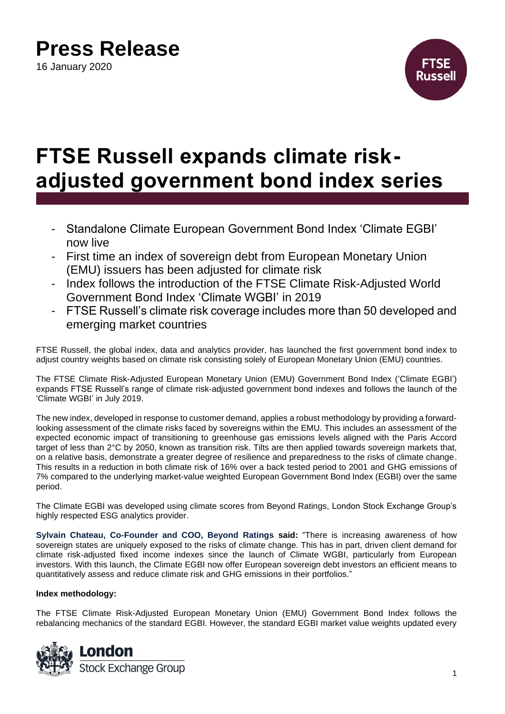# **Press Release**

16 January 2020



# **FTSE Russell expands climate riskadjusted government bond index series**

- Standalone Climate European Government Bond Index 'Climate EGBI' now live
- First time an index of sovereign debt from European Monetary Union (EMU) issuers has been adjusted for climate risk
- Index follows the introduction of the FTSE Climate Risk-Adjusted World Government Bond Index 'Climate WGBI' in 2019
- FTSE Russell's climate risk coverage includes more than 50 developed and emerging market countries

FTSE Russell, the global index, data and analytics provider, has launched the first government bond index to adjust country weights based on climate risk consisting solely of European Monetary Union (EMU) countries.

The FTSE Climate Risk-Adjusted European Monetary Union (EMU) Government Bond Index ('Climate EGBI') expands FTSE Russell's range of climate risk-adjusted government bond indexes and follows the launch of the 'Climate WGBI' in July 2019.

The new index, developed in response to customer demand, applies a robust methodology by providing a forwardlooking assessment of the climate risks faced by sovereigns within the EMU. This includes an assessment of the expected economic impact of transitioning to greenhouse gas emissions levels aligned with the Paris Accord target of less than 2°C by 2050, known as transition risk. Tilts are then applied towards sovereign markets that, on a relative basis, demonstrate a greater degree of resilience and preparedness to the risks of climate change. This results in a reduction in both climate risk of 16% over a back tested period to 2001 and GHG emissions of 7% compared to the underlying market-value weighted European Government Bond Index (EGBI) over the same period.

The Climate EGBI was developed using climate scores from Beyond Ratings, London Stock Exchange Group's highly respected ESG analytics provider.

**Sylvain Chateau, Co-Founder and COO, Beyond Ratings said:** "There is increasing awareness of how sovereign states are uniquely exposed to the risks of climate change. This has in part, driven client demand for climate risk-adjusted fixed income indexes since the launch of Climate WGBI, particularly from European investors. With this launch, the Climate EGBI now offer European sovereign debt investors an efficient means to quantitatively assess and reduce climate risk and GHG emissions in their portfolios."

### **Index methodology:**

The FTSE Climate Risk-Adjusted European Monetary Union (EMU) Government Bond Index follows the rebalancing mechanics of the standard EGBI. However, the standard EGBI market value weights updated every

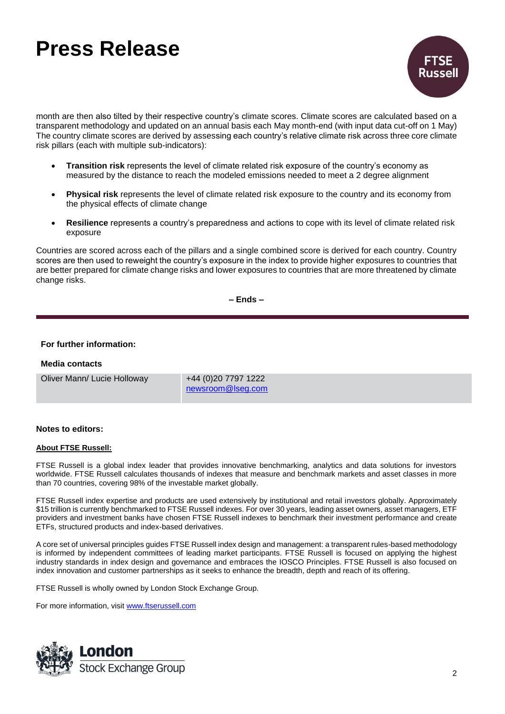# **Press Release**



month are then also tilted by their respective country's climate scores. Climate scores are calculated based on a transparent methodology and updated on an annual basis each May month-end (with input data cut-off on 1 May) The country climate scores are derived by assessing each country's relative climate risk across three core climate risk pillars (each with multiple sub-indicators):

- **Transition risk** represents the level of climate related risk exposure of the country's economy as measured by the distance to reach the modeled emissions needed to meet a 2 degree alignment
- **Physical risk** represents the level of climate related risk exposure to the country and its economy from the physical effects of climate change
- **Resilience** represents a country's preparedness and actions to cope with its level of climate related risk exposure

Countries are scored across each of the pillars and a single combined score is derived for each country. Country scores are then used to reweight the country's exposure in the index to provide higher exposures to countries that are better prepared for climate change risks and lower exposures to countries that are more threatened by climate change risks.

**– Ends –**

### **For further information:**

### **Media contacts**

Oliver Mann/ Lucie Holloway +44 (0)20 7797 1222

[newsroom@lseg.com](mailto:newsroom@lseg.com)

#### **Notes to editors:**

#### **About FTSE Russell:**

FTSE Russell is a global index leader that provides innovative benchmarking, analytics and data solutions for investors worldwide. FTSE Russell calculates thousands of indexes that measure and benchmark markets and asset classes in more than 70 countries, covering 98% of the investable market globally.

FTSE Russell index expertise and products are used extensively by institutional and retail investors globally. Approximately \$15 trillion is currently benchmarked to FTSE Russell indexes. For over 30 years, leading asset owners, asset managers, ETF providers and investment banks have chosen FTSE Russell indexes to benchmark their investment performance and create ETFs, structured products and index-based derivatives.

A core set of universal principles guides FTSE Russell index design and management: a transparent rules-based methodology is informed by independent committees of leading market participants. FTSE Russell is focused on applying the highest industry standards in index design and governance and embraces the IOSCO Principles. FTSE Russell is also focused on index innovation and customer partnerships as it seeks to enhance the breadth, depth and reach of its offering.

FTSE Russell is wholly owned by London Stock Exchange Group.

For more information, visit [www.ftserussell.com](http://www.ftserussell.com/)